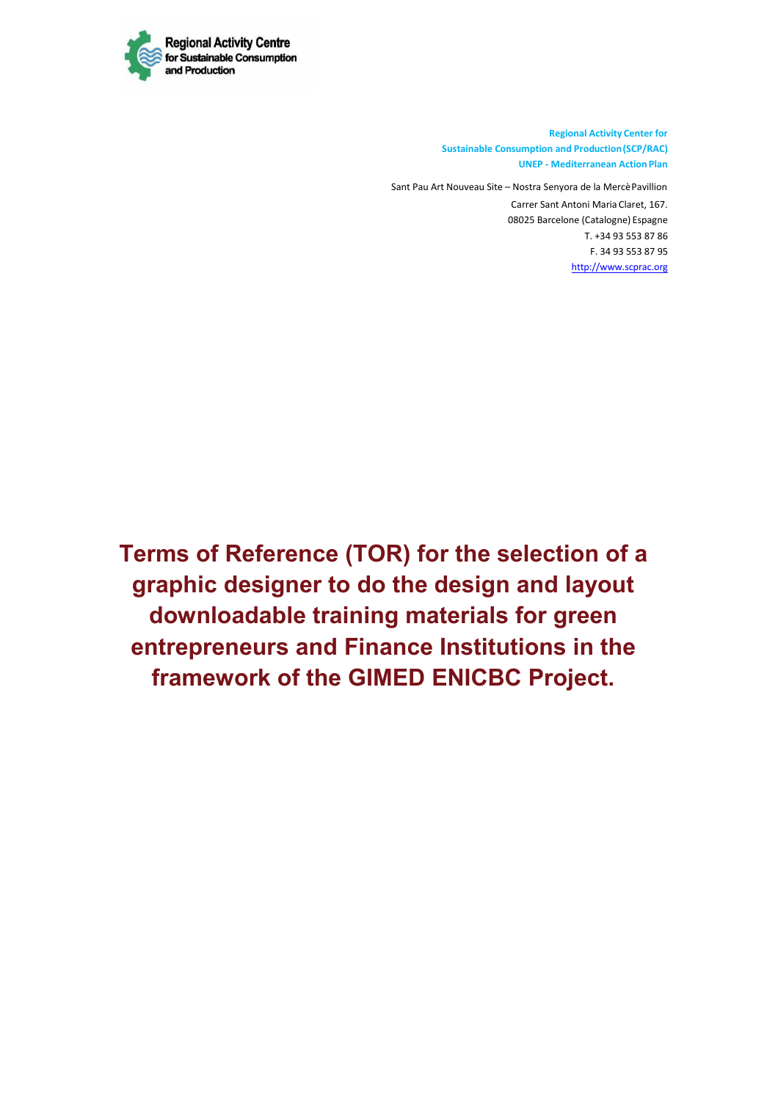

**Regional Activity Center for Sustainable Consumption and Production (SCP/RAC) UNEP - Mediterranean Action Plan**

Sant Pau Art Nouveau Site – Nostra Senyora de la Mercè Pavillion Carrer Sant Antoni Maria Claret, 167. 08025 Barcelone (Catalogne) Espagne T. +34 93 553 87 86 F. 34 93 553 87 95 http://www.scprac.org

**Terms of Reference (TOR) for the selection of a graphic designer to do the design and layout downloadable training materials for green entrepreneurs and Finance Institutions in the framework of the GIMED ENICBC Project.**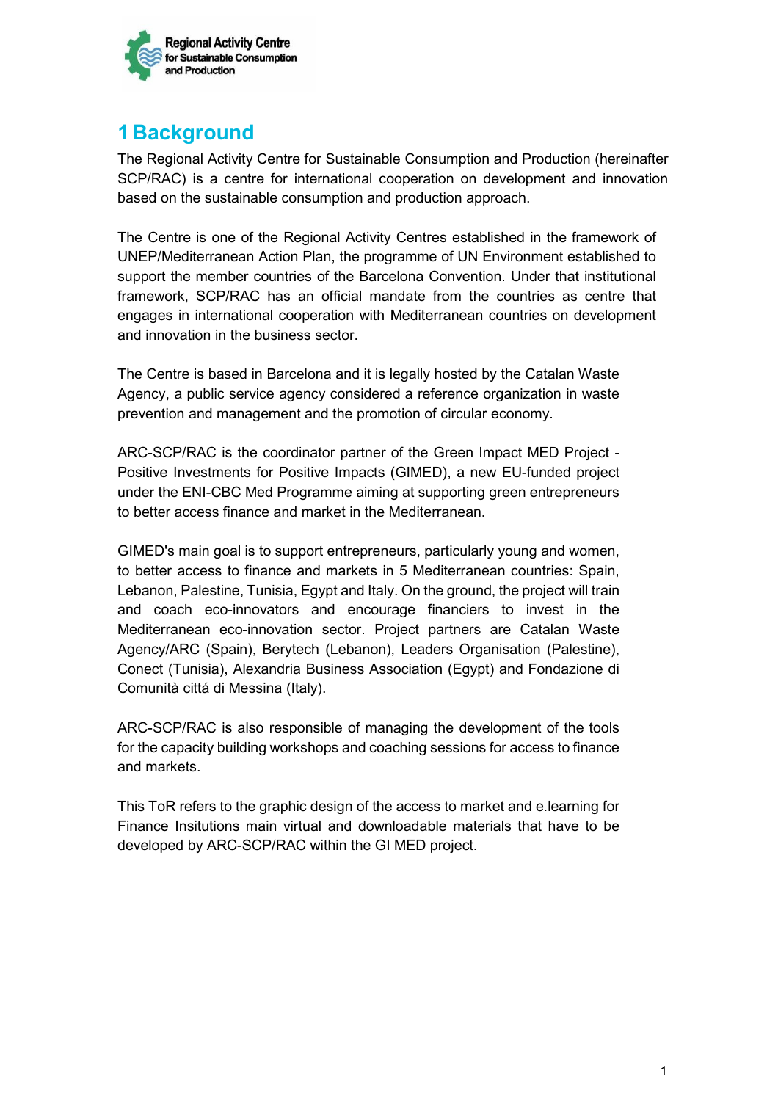

# **1 Background**

The Regional Activity Centre for Sustainable Consumption and Production (hereinafter SCP/RAC) is a centre for international cooperation on development and innovation based on the sustainable consumption and production approach.

The Centre is one of the Regional Activity Centres established in the framework of UNEP/Mediterranean Action Plan, the programme of UN Environment established to support the member countries of the Barcelona Convention. Under that institutional framework, SCP/RAC has an official mandate from the countries as centre that engages in international cooperation with Mediterranean countries on development and innovation in the business sector.

The Centre is based in Barcelona and it is legally hosted by the Catalan Waste Agency, a public service agency considered a reference organization in waste prevention and management and the promotion of circular economy.

ARC-SCP/RAC is the coordinator partner of the Green Impact MED Project - Positive Investments for Positive Impacts (GIMED), a new EU-funded project under the ENI-CBC Med Programme aiming at supporting green entrepreneurs to better access finance and market in the Mediterranean.

GIMED's main goal is to support entrepreneurs, particularly young and women, to better access to finance and markets in 5 Mediterranean countries: Spain, Lebanon, Palestine, Tunisia, Egypt and Italy. On the ground, the project will train and coach eco-innovators and encourage financiers to invest in the Mediterranean eco-innovation sector. Project partners are Catalan Waste Agency/ARC (Spain), Berytech (Lebanon), Leaders Organisation (Palestine), Conect (Tunisia), Alexandria Business Association (Egypt) and Fondazione di Comunità cittá di Messina (Italy).

ARC-SCP/RAC is also responsible of managing the development of the tools for the capacity building workshops and coaching sessions for access to finance and markets.

This ToR refers to the graphic design of the access to market and e.learning for Finance Insitutions main virtual and downloadable materials that have to be developed by ARC-SCP/RAC within the GI MED project.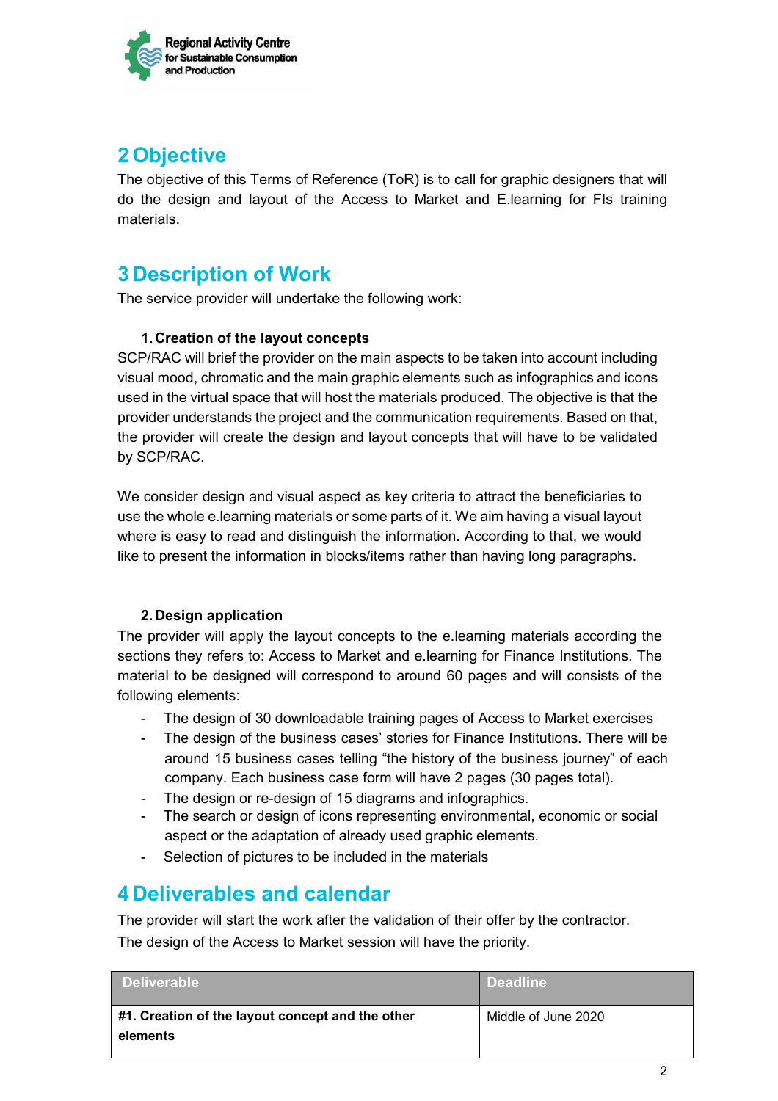

# **2 Objective**

The objective of this Terms of Reference (ToR) is to call for graphic designers that will do the design and layout of the Access to Market and E.learning for FIs training materials.

## **3 Description of Work**

The service provider will undertake the following work:

#### **1. Creation of the layout concepts**

SCP/RAC will brief the provider on the main aspects to be taken into account including visual mood, chromatic and the main graphic elements such as infographics and icons used in the virtual space that will host the materials produced. The objective is that the provider understands the project and the communication requirements. Based on that, the provider will create the design and layout concepts that will have to be validated by SCP/RAC.

We consider design and visual aspect as key criteria to attract the beneficiaries to use the whole e.learning materials or some parts of it. We aim having a visual layout where is easy to read and distinguish the information. According to that, we would like to present the information in blocks/items rather than having long paragraphs.

#### **2. Design application**

The provider will apply the layout concepts to the e.learning materials according the sections they refers to: Access to Market and e.learning for Finance Institutions. The material to be designed will correspond to around 60 pages and will consists of the following elements:

- The design of 30 downloadable training pages of Access to Market exercises
- The design of the business cases' stories for Finance Institutions. There will be around 15 business cases telling "the history of the business journey" of each company. Each business case form will have 2 pages (30 pages total).
- The design or re-design of 15 diagrams and infographics.
- The search or design of icons representing environmental, economic or social aspect or the adaptation of already used graphic elements.
- Selection of pictures to be included in the materials

## **4 Deliverables and calendar**

The provider will start the work after the validation of their offer by the contractor. The design of the Access to Market session will have the priority.

| ∟Deliverable <sup>।</sup>                                    | <b>Deadline</b>     |
|--------------------------------------------------------------|---------------------|
| #1. Creation of the layout concept and the other<br>elements | Middle of June 2020 |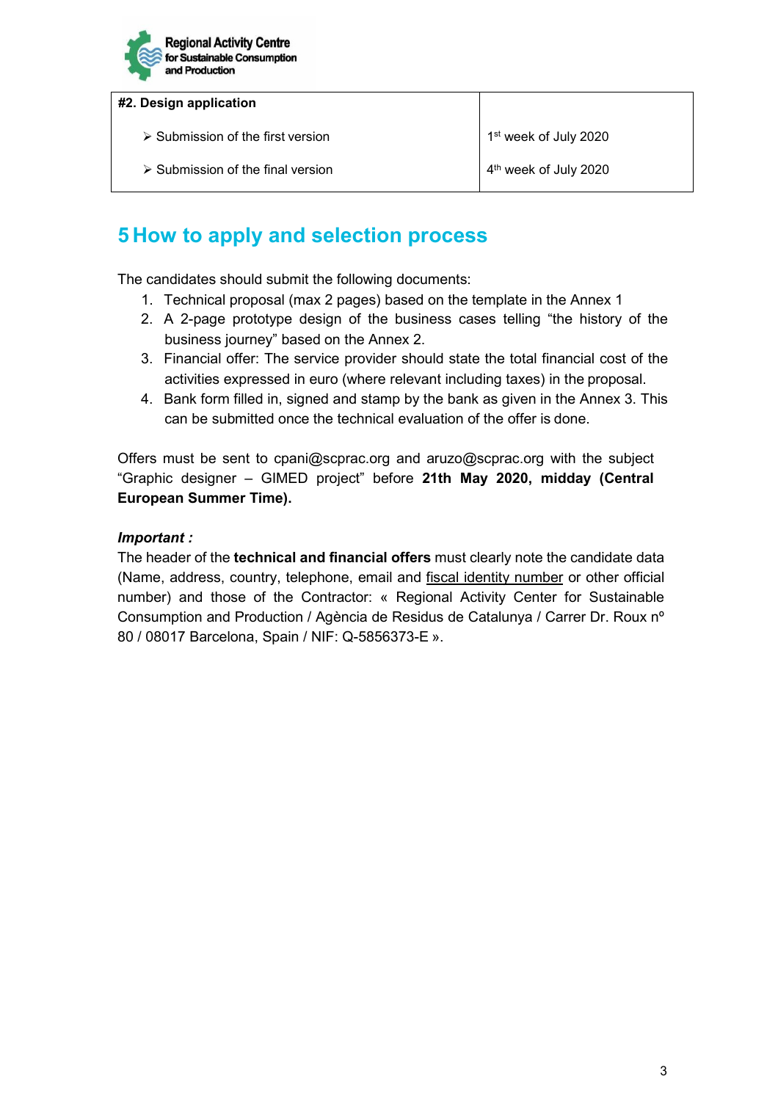

#### **#2. Design application**

 $\triangleright$  Submission of the first version 1st week of July 2020

 $\triangleright$  Submission of the final version  $4<sup>th</sup>$  week of July 2020

# **5 How to apply and selection process**

The candidates should submit the following documents:

- 1. Technical proposal (max 2 pages) based on the template in the Annex 1
- 2. A 2-page prototype design of the business cases telling "the history of the business journey" based on the Annex 2.
- 3. Financial offer: The service provider should state the total financial cost of the activities expressed in euro (where relevant including taxes) in the proposal.
- 4. Bank form filled in, signed and stamp by the bank as given in the Annex 3. This can be submitted once the technical evaluation of the offer is done.

Offers must be sent to cpani@scprac.org and aruzo@scprac.org with the subject "Graphic designer – GIMED project" before **21th May 2020, midday (Central European Summer Time).** 

#### *Important :*

The header of the **technical and financial offers** must clearly note the candidate data (Name, address, country, telephone, email and fiscal identity number or other official number) and those of the Contractor: « Regional Activity Center for Sustainable Consumption and Production / Agència de Residus de Catalunya / Carrer Dr. Roux nº 80 / 08017 Barcelona, Spain / NIF: Q-5856373-E ».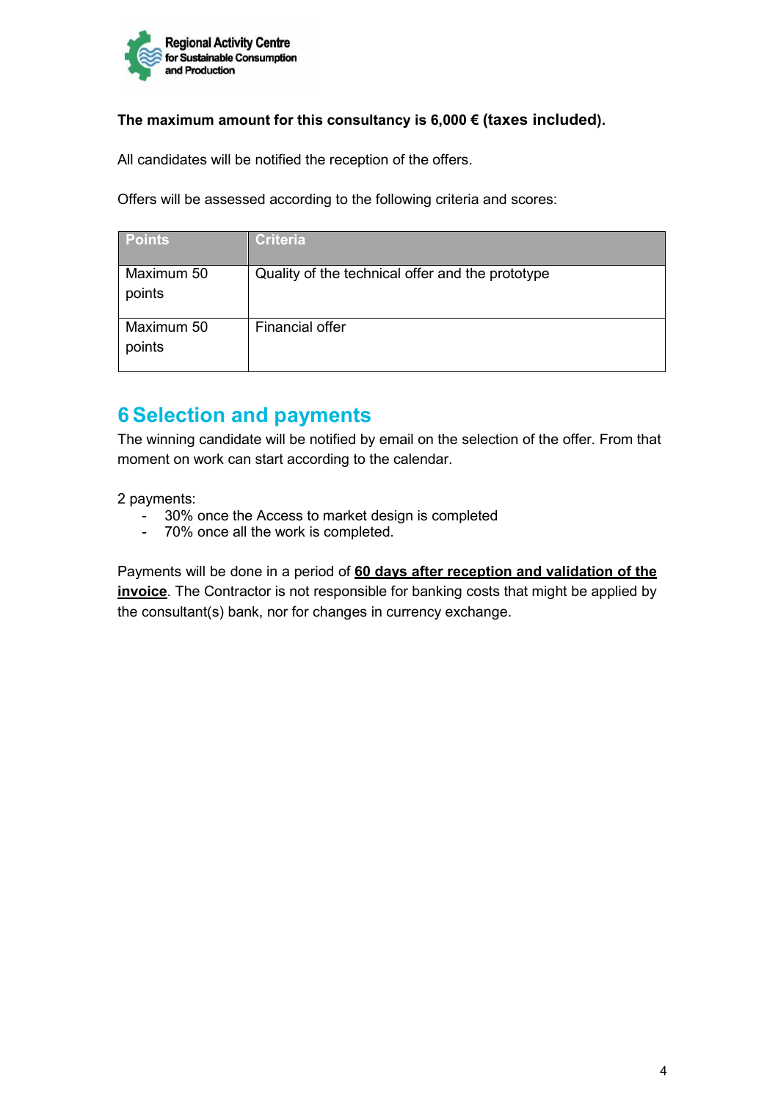

#### **The maximum amount for this consultancy is 6,000 € (taxes included).**

All candidates will be notified the reception of the offers.

Offers will be assessed according to the following criteria and scores:

| <b>Points</b>        | <b>Criteria</b>                                  |
|----------------------|--------------------------------------------------|
| Maximum 50<br>points | Quality of the technical offer and the prototype |
| Maximum 50<br>points | Financial offer                                  |

### **6 Selection and payments**

The winning candidate will be notified by email on the selection of the offer. From that moment on work can start according to the calendar.

2 payments:

- 30% once the Access to market design is completed
- 70% once all the work is completed.

Payments will be done in a period of **60 days after reception and validation of the invoice**. The Contractor is not responsible for banking costs that might be applied by the consultant(s) bank, nor for changes in currency exchange.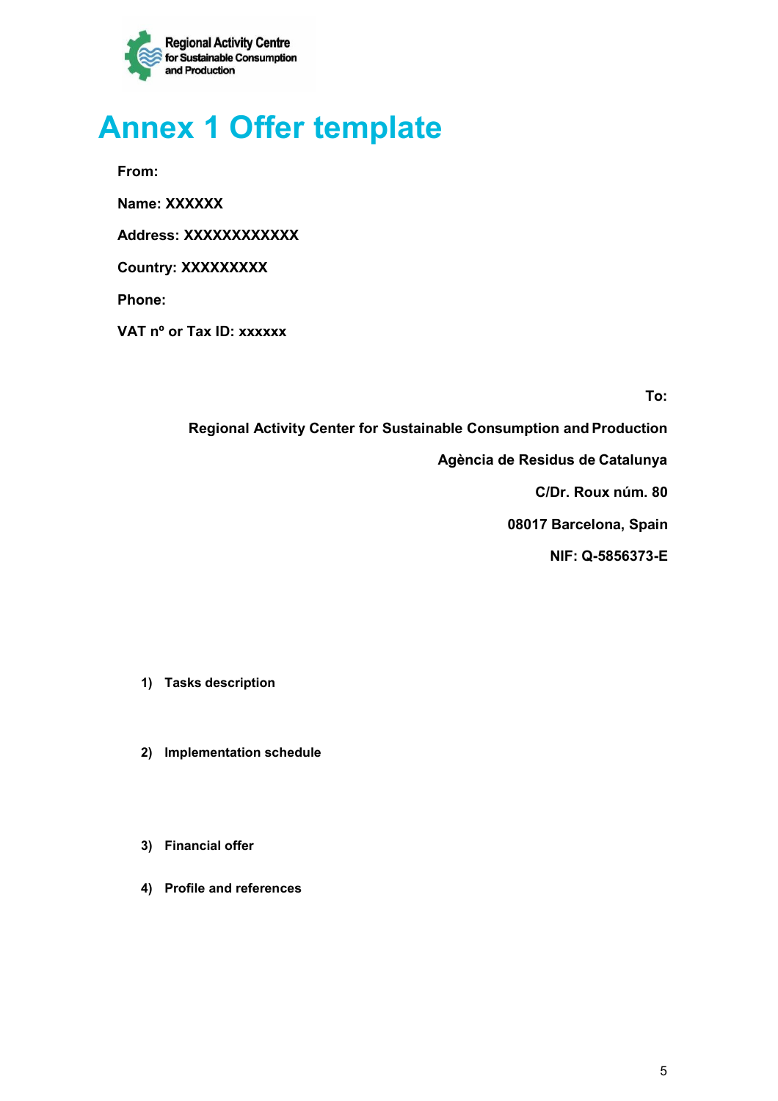

# **Annex 1 Offer template**

**From:** 

**Name: XXXXXX** 

**Address: XXXXXXXXXXXX** 

**Country: XXXXXXXXX** 

**Phone:** 

**VAT nº or Tax ID: xxxxxx** 

**To:** 

**Regional Activity Center for Sustainable Consumption and Production** 

**Agència de Residus de Catalunya** 

**C/Dr. Roux núm. 80** 

**08017 Barcelona, Spain** 

**NIF: Q-5856373-E** 

- **1) Tasks description**
- **2) Implementation schedule**
- **3) Financial offer**
- **4) Profile and references**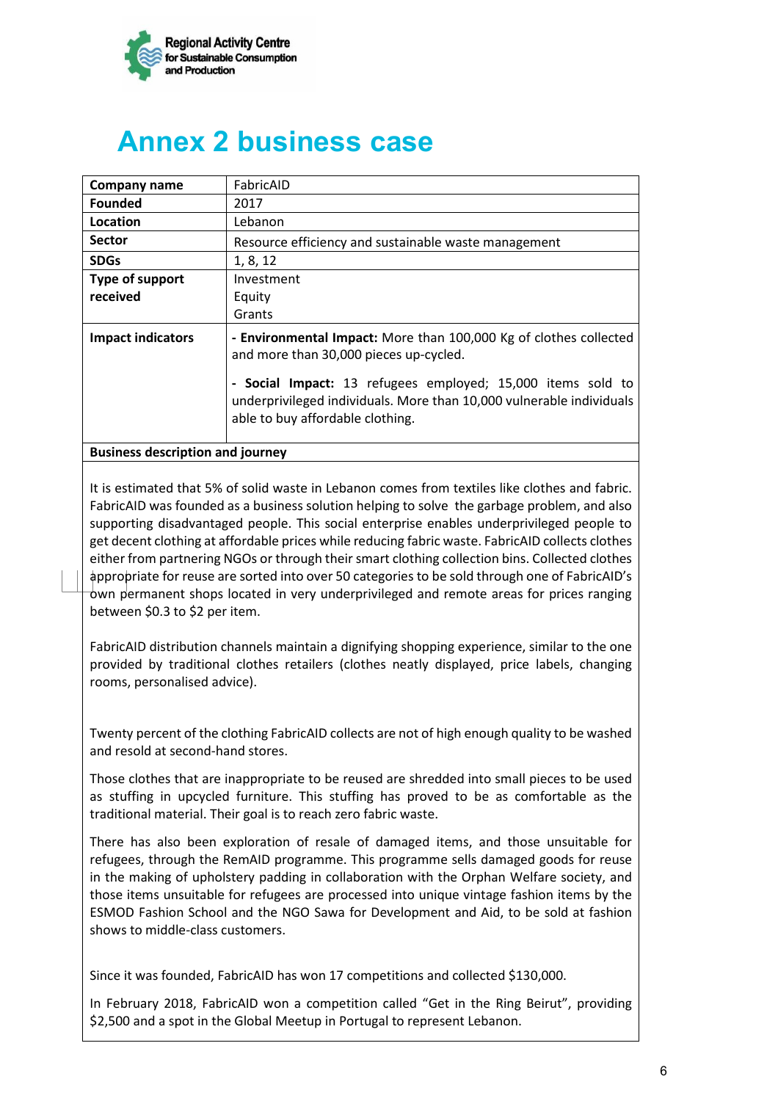

# **Annex 2 business case**

| Company name                            | FabricAID                                                                                                                                                               |
|-----------------------------------------|-------------------------------------------------------------------------------------------------------------------------------------------------------------------------|
| <b>Founded</b>                          | 2017                                                                                                                                                                    |
| Location                                | Lebanon                                                                                                                                                                 |
| <b>Sector</b>                           | Resource efficiency and sustainable waste management                                                                                                                    |
| <b>SDGs</b>                             | 1, 8, 12                                                                                                                                                                |
| Type of support                         | Investment                                                                                                                                                              |
| received                                | Equity                                                                                                                                                                  |
|                                         | Grants                                                                                                                                                                  |
| <b>Impact indicators</b>                | - Environmental Impact: More than 100,000 Kg of clothes collected<br>and more than 30,000 pieces up-cycled.                                                             |
|                                         | - Social Impact: 13 refugees employed; 15,000 items sold to<br>underprivileged individuals. More than 10,000 vulnerable individuals<br>able to buy affordable clothing. |
| <b>Business description and journey</b> |                                                                                                                                                                         |

It is estimated that 5% of solid waste in Lebanon comes from textiles like clothes and fabric. FabricAID was founded as a business solution helping to solve the garbage problem, and also supporting disadvantaged people. This social enterprise enables underprivileged people to get decent clothing at affordable prices while reducing fabric waste. FabricAID collects clothes either from partnering NGOs or through their smart clothing collection bins. Collected clothes appropriate for reuse are sorted into over 50 categories to be sold through one of FabricAID's own permanent shops located in very underprivileged and remote areas for prices ranging between \$0.3 to \$2 per item.

FabricAID distribution channels maintain a dignifying shopping experience, similar to the one provided by traditional clothes retailers (clothes neatly displayed, price labels, changing rooms, personalised advice).

Twenty percent of the clothing FabricAID collects are not of high enough quality to be washed and resold at second-hand stores.

Those clothes that are inappropriate to be reused are shredded into small pieces to be used as stuffing in upcycled furniture. This stuffing has proved to be as comfortable as the traditional material. Their goal is to reach zero fabric waste.

There has also been exploration of resale of damaged items, and those unsuitable for refugees, through the RemAID programme. This programme sells damaged goods for reuse in the making of upholstery padding in collaboration with the Orphan Welfare society, and those items unsuitable for refugees are processed into unique vintage fashion items by the ESMOD Fashion School and the NGO Sawa for Development and Aid, to be sold at fashion shows to middle-class customers.

Since it was founded, FabricAID has won 17 competitions and collected \$130,000.

In February 2018, FabricAID won a competition called "Get in the Ring Beirut", providing \$2,500 and a spot in the Global Meetup in Portugal to represent Lebanon.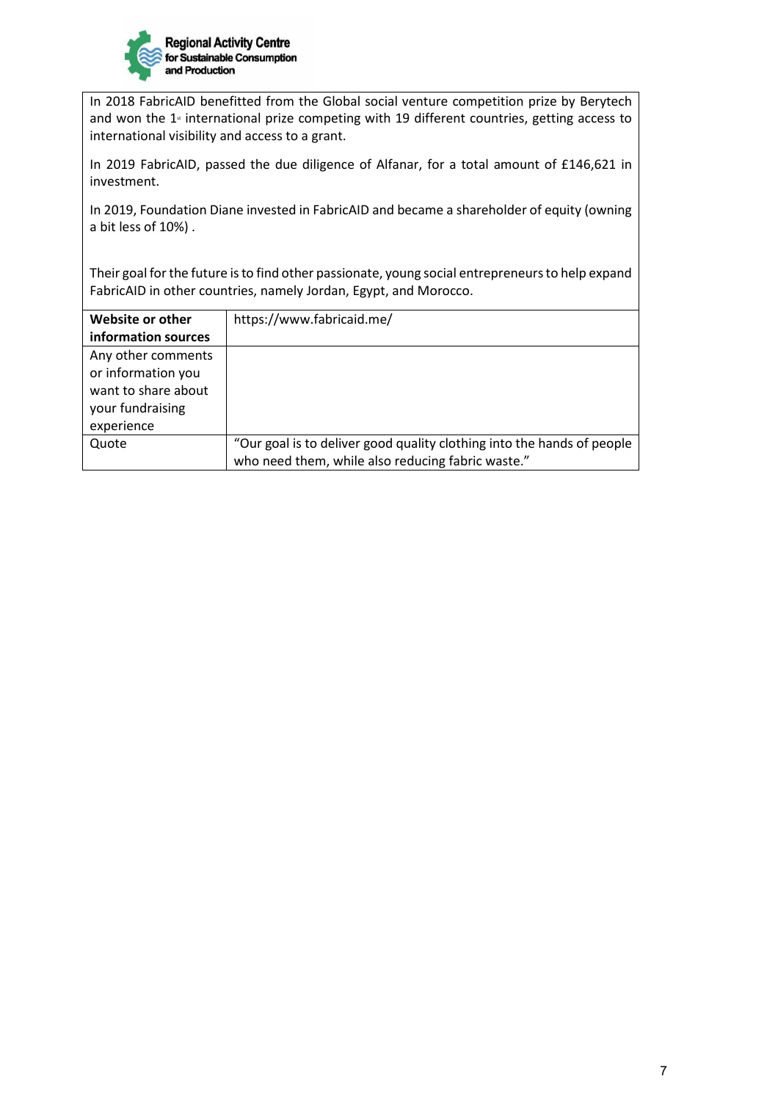

In 2018 FabricAID benefitted from the Global social venture competition prize by Berytech and won the  $1<sup>*</sup>$  international prize competing with 19 different countries, getting access to international visibility and access to a grant.

In 2019 FabricAID, passed the due diligence of Alfanar, for a total amount of £146,621 in investment.

In 2019, Foundation Diane invested in FabricAID and became a shareholder of equity (owning a bit less of 10%) .

Their goal for the future is to find other passionate, young social entrepreneurs to help expand FabricAID in other countries, namely Jordan, Egypt, and Morocco.

| Website or other    | https://www.fabricaid.me/                                              |
|---------------------|------------------------------------------------------------------------|
| information sources |                                                                        |
| Any other comments  |                                                                        |
| or information you  |                                                                        |
| want to share about |                                                                        |
| your fundraising    |                                                                        |
| experience          |                                                                        |
| Quote               | "Our goal is to deliver good quality clothing into the hands of people |
|                     | who need them, while also reducing fabric waste."                      |